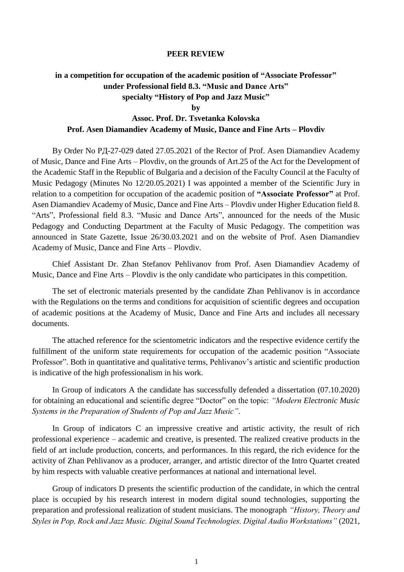## **PEER REVIEW**

## **in a competition for occupation of the academic position of "Associate Professor" under Professional field 8.3. "Music and Dance Arts" specialty "History of Pop and Jazz Music"**

**by**

## **Assoc. Prof. Dr. Tsvetanka Kolovska Prof. Asen Diamandiev Academy of Music, Dance and Fine Arts – Plovdiv**

By Order No РД-27-029 dated 27.05.2021 of the Rector of Prof. Asen Diamandiev Academy of Music, Dance and Fine Arts – Plovdiv, on the grounds of Art.25 of the Act for the Development of the Academic Staff in the Republic of Bulgaria and a decision of the Faculty Council at the Faculty of Music Pedagogy (Minutes No 12/20.05.2021) I was appointed a member of the Scientific Jury in relation to a competition for occupation of the academic position of **"Associate Professor"** at Prof. Asen Diamandiev Academy of Music, Dance and Fine Arts – Plovdiv under Higher Education field 8. "Arts", Professional field 8.3. "Music and Dance Arts", announced for the needs of the Music Pedagogy and Conducting Department at the Faculty of Music Pedagogy. The competition was announced in State Gazette, Issue 26/30.03.2021 and on the website of Prof. Asen Diamandiev Academy of Music, Dance and Fine Arts – Plovdiv.

Chief Assistant Dr. Zhan Stefanov Pehlivanov from Prof. Asen Diamandiev Academy of Music, Dance and Fine Arts – Plovdiv is the only candidate who participates in this competition.

The set of electronic materials presented by the candidate Zhan Pehlivanov is in accordance with the Regulations on the terms and conditions for acquisition of scientific degrees and occupation of academic positions at the Academy of Music, Dance and Fine Arts and includes all necessary documents.

The attached reference for the scientometric indicators and the respective evidence certify the fulfillment of the uniform state requirements for occupation of the academic position "Associate Professor". Both in quantitative and qualitative terms, Pehlivanov's artistic and scientific production is indicative of the high professionalism in his work.

In Group of indicators A the candidate has successfully defended a dissertation (07.10.2020) for obtaining an educational and scientific degree "Doctor" on the topic: *"Modern Electronic Music Systems in the Preparation of Students of Pop and Jazz Music"*.

In Group of indicators C an impressive creative and artistic activity, the result of rich professional experience – academic and creative, is presented. The realized creative products in the field of art include production, concerts, and performances. In this regard, the rich evidence for the activity of Zhan Pehlivanov as a producer, arranger, and artistic director of the Intro Quartet created by him respects with valuable creative performances at national and international level.

Group of indicators D presents the scientific production of the candidate, in which the central place is occupied by his research interest in modern digital sound technologies, supporting the preparation and professional realization of student musicians. The monograph *"History, Theory and Styles in Pop, Rock and Jazz Music. Digital Sound Technologies. Digital Audio Workstations"* (2021,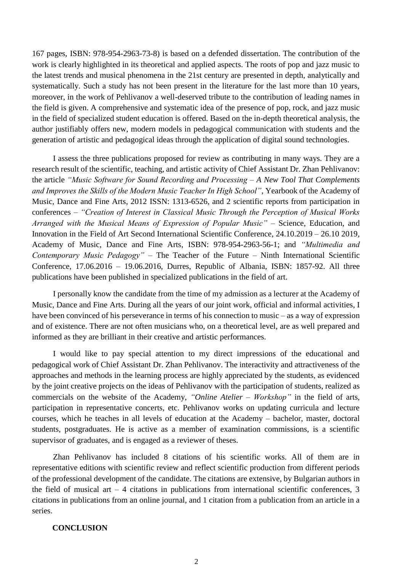167 pages, ISBN: 978-954-2963-73-8) is based on a defended dissertation. The contribution of the work is clearly highlighted in its theoretical and applied aspects. The roots of pop and jazz music to the latest trends and musical phenomena in the 21st century are presented in depth, analytically and systematically. Such a study has not been present in the literature for the last more than 10 years, moreover, in the work of Pehlivanov a well-deserved tribute to the contribution of leading names in the field is given. A comprehensive and systematic idea of the presence of pop, rock, and jazz music in the field of specialized student education is offered. Based on the in-depth theoretical analysis, the author justifiably offers new, modern models in pedagogical communication with students and the generation of artistic and pedagogical ideas through the application of digital sound technologies.

I assess the three publications proposed for review as contributing in many ways. They are a research result of the scientific, teaching, and artistic activity of Chief Assistant Dr. Zhan Pehlivanov: the article *"Music Software for Sound Recording and Processing – A New Tool That Complements and Improves the Skills of the Modern Music Teacher In High School"*, Yearbook of the Academy of Music, Dance and Fine Arts, 2012 ISSN: 1313-6526, and 2 scientific reports from participation in conferences – *"Creation of Interest in Classical Music Through the Perception of Musical Works Arranged with the Musical Means of Expression of Popular Music"* – Science, Education, and Innovation in the Field of Art Second International Scientific Conference, 24.10.2019 – 26.10 2019, Academy of Music, Dance and Fine Arts, ISBN: 978-954-2963-56-1; and *"Multimedia and Contemporary Music Pedagogy"* – The Teacher of the Future – Ninth International Scientific Conference, 17.06.2016 – 19.06.2016, Durres, Republic of Albania, ISBN: 1857-92. All three publications have been published in specialized publications in the field of art.

I personally know the candidate from the time of my admission as a lecturer at the Academy of Music, Dance and Fine Arts. During all the years of our joint work, official and informal activities, I have been convinced of his perseverance in terms of his connection to music – as a way of expression and of existence. There are not often musicians who, on a theoretical level, are as well prepared and informed as they are brilliant in their creative and artistic performances.

I would like to pay special attention to my direct impressions of the educational and pedagogical work of Chief Assistant Dr. Zhan Pehlivanov. The interactivity and attractiveness of the approaches and methods in the learning process are highly appreciated by the students, as evidenced by the joint creative projects on the ideas of Pehlivanov with the participation of students, realized as commercials on the website of the Academy, *"Online Atelier – Workshop"* in the field of arts, participation in representative concerts, etc. Pehlivanov works on updating curricula and lecture courses, which he teaches in all levels of education at the Academy – bachelor, master, doctoral students, postgraduates. He is active as a member of examination commissions, is a scientific supervisor of graduates, and is engaged as a reviewer of theses.

Zhan Pehlivanov has included 8 citations of his scientific works. All of them are in representative editions with scientific review and reflect scientific production from different periods of the professional development of the candidate. The citations are extensive, by Bulgarian authors in the field of musical art  $-4$  citations in publications from international scientific conferences, 3 citations in publications from an online journal, and 1 citation from a publication from an article in a series.

## **CONCLUSION**